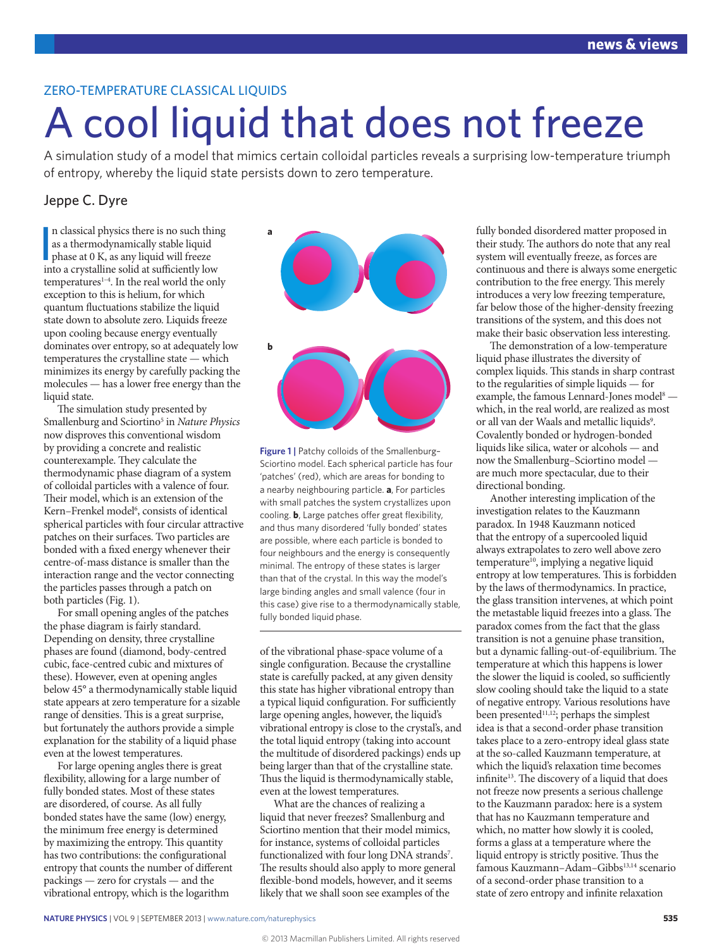## ZERO-TEMPERATURE CLASSICAL LIQUIDS

# A cool liquid that does not freeze

A simulation study of a model that mimics certain colloidal particles reveals a surprising low-temperature triumph of entropy, whereby the liquid state persists down to zero temperature.

## Jeppe C. Dyre

n classical physics there is no such thi<br>as a thermodynamically stable liquid<br>phase at 0 K, as any liquid will freeze<br>into a crystalline solid at sufficiently low n classical physics there is no such thing as a thermodynamically stable liquid into a crystalline solid at sufficiently low temperatures<sup>1-4</sup>. In the real world the only exception to this is helium, for which quantum fluctuations stabilize the liquid state down to absolute zero. Liquids freeze upon cooling because energy eventually dominates over entropy, so at adequately low temperatures the crystalline state — which minimizes its energy by carefully packing the molecules — has a lower free energy than the liquid state.

The simulation study presented by Smallenburg and Sciortino5 in *Nature Physics* now disproves this conventional wisdom by providing a concrete and realistic counterexample. They calculate the thermodynamic phase diagram of a system of colloidal particles with a valence of four. Their model, which is an extension of the Kern–Frenkel model<sup>6</sup>, consists of identical spherical particles with four circular attractive patches on their surfaces. Two particles are bonded with a fixed energy whenever their centre-of-mass distance is smaller than the interaction range and the vector connecting the particles passes through a patch on both particles (Fig. 1).

For small opening angles of the patches the phase diagram is fairly standard. Depending on density, three crystalline phases are found (diamond, body-centred cubic, face-centred cubic and mixtures of these). However, even at opening angles below 45° a thermodynamically stable liquid state appears at zero temperature for a sizable range of densities. This is a great surprise, but fortunately the authors provide a simple explanation for the stability of a liquid phase even at the lowest temperatures.

For large opening angles there is great flexibility, allowing for a large number of fully bonded states. Most of these states are disordered, of course. As all fully bonded states have the same (low) energy, the minimum free energy is determined by maximizing the entropy. This quantity has two contributions: the configurational entropy that counts the number of different packings — zero for crystals — and the vibrational entropy, which is the logarithm



**Figure 1 |** Patchy colloids of the Smallenburg– Sciortino model. Each spherical particle has four 'patches' (red), which are areas for bonding to a nearby neighbouring particle. **a**, For particles with small patches the system crystallizes upon cooling. **b**, Large patches offer great flexibility, and thus many disordered 'fully bonded' states are possible, where each particle is bonded to four neighbours and the energy is consequently minimal. The entropy of these states is larger than that of the crystal. In this way the model's large binding angles and small valence (four in this case) give rise to a thermodynamically stable, fully bonded liquid phase.

of the vibrational phase-space volume of a single configuration. Because the crystalline state is carefully packed, at any given density this state has higher vibrational entropy than a typical liquid configuration. For sufficiently large opening angles, however, the liquid's vibrational entropy is close to the crystal's, and the total liquid entropy (taking into account the multitude of disordered packings) ends up being larger than that of the crystalline state. Thus the liquid is thermodynamically stable, even at the lowest temperatures.

What are the chances of realizing a liquid that never freezes? Smallenburg and Sciortino mention that their model mimics, for instance, systems of colloidal particles functionalized with four long DNA strands<sup>7</sup>. The results should also apply to more general flexible-bond models, however, and it seems likely that we shall soon see examples of the

fully bonded disordered matter proposed in their study. The authors do note that any real system will eventually freeze, as forces are continuous and there is always some energetic contribution to the free energy. This merely introduces a very low freezing temperature, far below those of the higher-density freezing transitions of the system, and this does not make their basic observation less interesting.

The demonstration of a low-temperature liquid phase illustrates the diversity of complex liquids. This stands in sharp contrast to the regularities of simple liquids — for example, the famous Lennard-Jones model<sup>8</sup> which, in the real world, are realized as most or all van der Waals and metallic liquids<sup>9</sup>. Covalently bonded or hydrogen-bonded liquids like silica, water or alcohols — and now the Smallenburg–Sciortino model are much more spectacular, due to their directional bonding.

Another interesting implication of the investigation relates to the Kauzmann paradox. In 1948 Kauzmann noticed that the entropy of a supercooled liquid always extrapolates to zero well above zero temperature<sup>10</sup>, implying a negative liquid entropy at low temperatures. This is forbidden by the laws of thermodynamics. In practice, the glass transition intervenes, at which point the metastable liquid freezes into a glass. The paradox comes from the fact that the glass transition is not a genuine phase transition, but a dynamic falling-out-of-equilibrium. The temperature at which this happens is lower the slower the liquid is cooled, so sufficiently slow cooling should take the liquid to a state of negative entropy. Various resolutions have been presented<sup>11,12</sup>; perhaps the simplest idea is that a second-order phase transition takes place to a zero-entropy ideal glass state at the so-called Kauzmann temperature, at which the liquid's relaxation time becomes infinite<sup>13</sup>. The discovery of a liquid that does not freeze now presents a serious challenge to the Kauzmann paradox: here is a system that has no Kauzmann temperature and which, no matter how slowly it is cooled, forms a glass at a temperature where the liquid entropy is strictly positive. Thus the famous Kauzmann-Adam-Gibbs<sup>13,14</sup> scenario of a second-order phase transition to a state of zero entropy and infinite relaxation